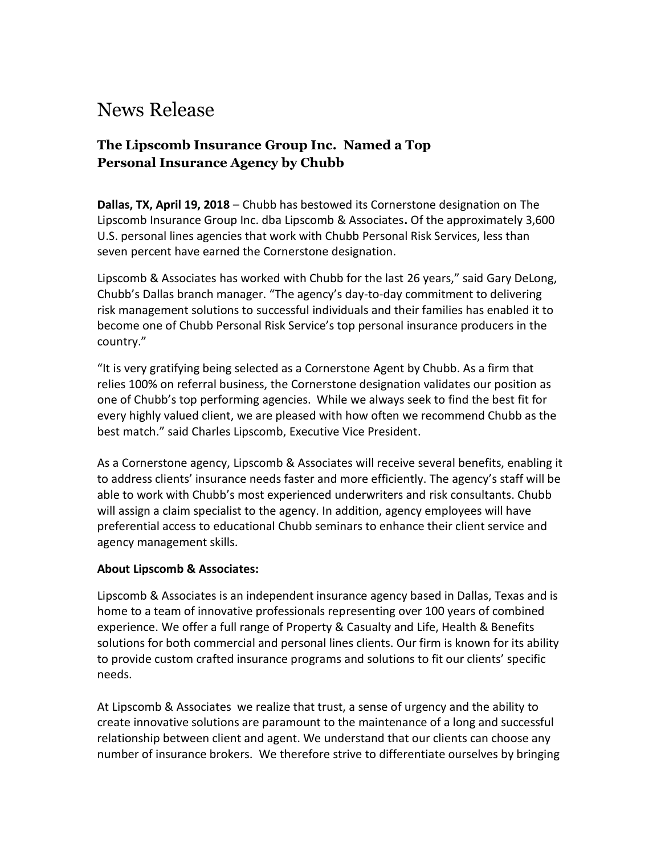# News Release

## **The Lipscomb Insurance Group Inc. Named a Top Personal Insurance Agency by Chubb**

**Dallas, TX, April 19, 2018** – Chubb has bestowed its Cornerstone designation on The Lipscomb Insurance Group Inc. dba Lipscomb & Associates**.** Of the approximately 3,600 U.S. personal lines agencies that work with Chubb Personal Risk Services, less than seven percent have earned the Cornerstone designation.

Lipscomb & Associates has worked with Chubb for the last 26 years," said Gary DeLong, Chubb's Dallas branch manager. "The agency's day-to-day commitment to delivering risk management solutions to successful individuals and their families has enabled it to become one of Chubb Personal Risk Service's top personal insurance producers in the country."

"It is very gratifying being selected as a Cornerstone Agent by Chubb. As a firm that relies 100% on referral business, the Cornerstone designation validates our position as one of Chubb's top performing agencies. While we always seek to find the best fit for every highly valued client, we are pleased with how often we recommend Chubb as the best match." said Charles Lipscomb, Executive Vice President.

As a Cornerstone agency, Lipscomb & Associates will receive several benefits, enabling it to address clients' insurance needs faster and more efficiently. The agency's staff will be able to work with Chubb's most experienced underwriters and risk consultants. Chubb will assign a claim specialist to the agency. In addition, agency employees will have preferential access to educational Chubb seminars to enhance their client service and agency management skills.

#### **About Lipscomb & Associates:**

Lipscomb & Associates is an independent insurance agency based in Dallas, Texas and is home to a team of innovative professionals representing over 100 years of combined experience. We offer a full range of Property & Casualty and Life, Health & Benefits solutions for both commercial and personal lines clients. Our firm is known for its ability to provide custom crafted insurance programs and solutions to fit our clients' specific needs.

At Lipscomb & Associates we realize that trust, a sense of urgency and the ability to create innovative solutions are paramount to the maintenance of a long and successful relationship between client and agent. We understand that our clients can choose any number of insurance brokers. We therefore strive to differentiate ourselves by bringing